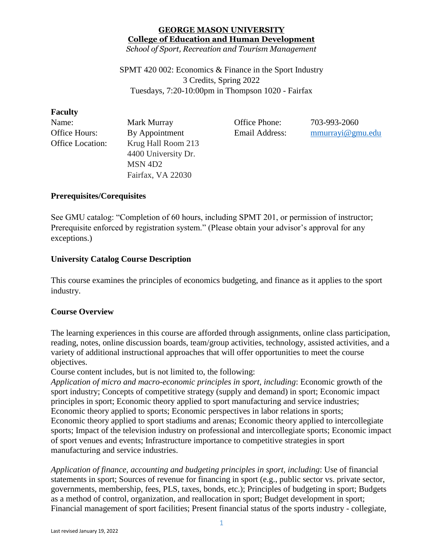# **GEORGE MASON UNIVERSITY College of Education and Human Development**

*School of Sport, Recreation and Tourism Management*

SPMT 420 002: Economics & Finance in the Sport Industry 3 Credits, Spring 2022 Tuesdays, 7:20-10:00pm in Thompson 1020 - Fairfax

#### **Faculty**

| Name:                   | Mark Murray         |
|-------------------------|---------------------|
| Office Hours:           | By Appointment      |
| <b>Office Location:</b> | Krug Hall Room 213  |
|                         | 4400 University Dr. |
|                         | MSN <sub>4D2</sub>  |
|                         | Fairfax, VA 22030   |

Office Phone: 703-993-2060 Email Address: [mmurrayi@gmu.edu](mailto:mmurrayi@gmu.edu)

## **Prerequisites/Corequisites**

See GMU catalog: "Completion of 60 hours, including SPMT 201, or permission of instructor; Prerequisite enforced by registration system." (Please obtain your advisor's approval for any exceptions.)

## **University Catalog Course Description**

This course examines the principles of economics budgeting, and finance as it applies to the sport industry.

## **Course Overview**

The learning experiences in this course are afforded through assignments, online class participation, reading, notes, online discussion boards, team/group activities, technology, assisted activities, and a variety of additional instructional approaches that will offer opportunities to meet the course objectives.

Course content includes, but is not limited to, the following:

*Application of micro and macro-economic principles in sport, including*: Economic growth of the sport industry; Concepts of competitive strategy (supply and demand) in sport; Economic impact principles in sport; Economic theory applied to sport manufacturing and service industries; Economic theory applied to sports; Economic perspectives in labor relations in sports; Economic theory applied to sport stadiums and arenas; Economic theory applied to intercollegiate sports; Impact of the television industry on professional and intercollegiate sports; Economic impact of sport venues and events; Infrastructure importance to competitive strategies in sport manufacturing and service industries.

*Application of finance, accounting and budgeting principles in sport, including*: Use of financial statements in sport; Sources of revenue for financing in sport (e.g., public sector vs. private sector, governments, membership, fees, PLS, taxes, bonds, etc.); Principles of budgeting in sport; Budgets as a method of control, organization, and reallocation in sport; Budget development in sport; Financial management of sport facilities; Present financial status of the sports industry - collegiate,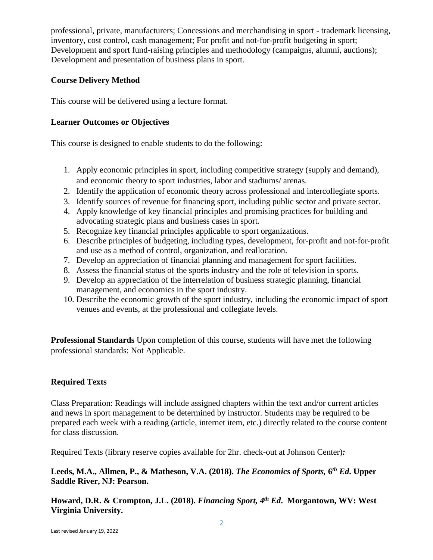professional, private, manufacturers; Concessions and merchandising in sport - trademark licensing, inventory, cost control, cash management; For profit and not-for-profit budgeting in sport; Development and sport fund-raising principles and methodology (campaigns, alumni, auctions); Development and presentation of business plans in sport.

## **Course Delivery Method**

This course will be delivered using a lecture format.

## **Learner Outcomes or Objectives**

This course is designed to enable students to do the following:

- 1. Apply economic principles in sport, including competitive strategy (supply and demand), and economic theory to sport industries, labor and stadiums/ arenas.
- 2. Identify the application of economic theory across professional and intercollegiate sports.
- 3. Identify sources of revenue for financing sport, including public sector and private sector.
- 4. Apply knowledge of key financial principles and promising practices for building and advocating strategic plans and business cases in sport.
- 5. Recognize key financial principles applicable to sport organizations.
- 6. Describe principles of budgeting, including types, development, for‐profit and not‐for‐profit and use as a method of control, organization, and reallocation.
- 7. Develop an appreciation of financial planning and management for sport facilities.
- 8. Assess the financial status of the sports industry and the role of television in sports.
- 9. Develop an appreciation of the interrelation of business strategic planning, financial management, and economics in the sport industry.
- 10. Describe the economic growth of the sport industry, including the economic impact of sport venues and events, at the professional and collegiate levels.

**Professional Standards** Upon completion of this course, students will have met the following professional standards: Not Applicable.

## **Required Texts**

Class Preparation: Readings will include assigned chapters within the text and/or current articles and news in sport management to be determined by instructor. Students may be required to be prepared each week with a reading (article, internet item, etc.) directly related to the course content for class discussion.

Required Texts (library reserve copies available for 2hr. check-out at Johnson Center)*:* 

**Leeds, M.A., Allmen, P., & Matheson, V.A. (2018).** *The Economics of Sports,* **6** *th Ed***. Upper Saddle River, NJ: Pearson.**

**Howard, D.R. & Crompton, J.L. (2018).** *Financing Sport, 4 th Ed***. Morgantown, WV: West Virginia University.**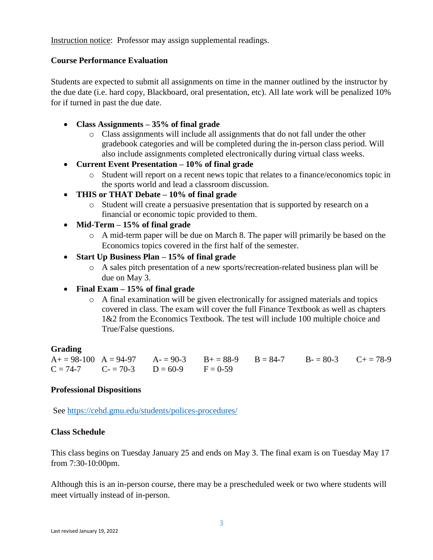Instruction notice: Professor may assign supplemental readings.

#### **Course Performance Evaluation**

Students are expected to submit all assignments on time in the manner outlined by the instructor by the due date (i.e. hard copy, Blackboard, oral presentation, etc). All late work will be penalized 10% for if turned in past the due date.

- **Class Assignments – 35% of final grade**
	- o Class assignments will include all assignments that do not fall under the other gradebook categories and will be completed during the in-person class period. Will also include assignments completed electronically during virtual class weeks.
- **Current Event Presentation – 10% of final grade**
	- o Student will report on a recent news topic that relates to a finance/economics topic in the sports world and lead a classroom discussion.
- **THIS or THAT Debate – 10% of final grade**
	- o Student will create a persuasive presentation that is supported by research on a financial or economic topic provided to them.
- **Mid-Term – 15% of final grade**
	- o A mid-term paper will be due on March 8. The paper will primarily be based on the Economics topics covered in the first half of the semester.
- **Start Up Business Plan – 15% of final grade**
	- o A sales pitch presentation of a new sports/recreation-related business plan will be due on May 3.
- **Final Exam – 15% of final grade**
	- o A final examination will be given electronically for assigned materials and topics covered in class. The exam will cover the full Finance Textbook as well as chapters 1&2 from the Economics Textbook. The test will include 100 multiple choice and True/False questions.

#### **Grading**

 $A_+ = 98-100$   $A = 94-97$   $A_0 = 90-3$   $B_+ = 88-9$   $B_0 = 84-7$   $B_0 = 80-3$   $C_+ = 78-9$  $C = 74-7$   $C = 70-3$   $D = 60-9$   $F = 0-59$ 

#### **Professional Dispositions**

See<https://cehd.gmu.edu/students/polices-procedures/>

#### **Class Schedule**

This class begins on Tuesday January 25 and ends on May 3. The final exam is on Tuesday May 17 from 7:30-10:00pm.

Although this is an in-person course, there may be a prescheduled week or two where students will meet virtually instead of in-person.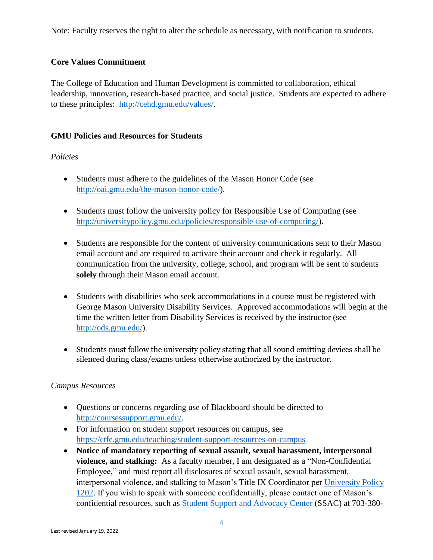Note: Faculty reserves the right to alter the schedule as necessary, with notification to students.

## **Core Values Commitment**

The College of Education and Human Development is committed to collaboration, ethical leadership, innovation, research-based practice, and social justice. Students are expected to adhere to these principles: [http://cehd.gmu.edu/values/.](http://cehd.gmu.edu/values/)

### **GMU Policies and Resources for Students**

### *Policies*

- Students must adhere to the guidelines of the Mason Honor Code (see [http://oai.gmu.edu/the-mason-honor-code/\)](http://oai.gmu.edu/the-mason-honor-code/).
- Students must follow the university policy for Responsible Use of Computing (see [http://universitypolicy.gmu.edu/policies/responsible-use-of-computing/\)](http://universitypolicy.gmu.edu/policies/responsible-use-of-computing/).
- Students are responsible for the content of university communications sent to their Mason email account and are required to activate their account and check it regularly. All communication from the university, college, school, and program will be sent to students **solely** through their Mason email account.
- Students with disabilities who seek accommodations in a course must be registered with George Mason University Disability Services. Approved accommodations will begin at the time the written letter from Disability Services is received by the instructor (see [http://ods.gmu.edu/\)](http://ods.gmu.edu/).
- Students must follow the university policy stating that all sound emitting devices shall be silenced during class/exams unless otherwise authorized by the instructor.

#### *Campus Resources*

- Questions or concerns regarding use of Blackboard should be directed to [http://coursessupport.gmu.edu/.](http://coursessupport.gmu.edu/)
- For information on student support resources on campus, see <https://ctfe.gmu.edu/teaching/student-support-resources-on-campus>
- **Notice of mandatory reporting of sexual assault, sexual harassment, interpersonal violence, and stalking:** As a faculty member, I am designated as a "Non-Confidential Employee," and must report all disclosures of sexual assault, sexual harassment, interpersonal violence, and stalking to Mason's Title IX Coordinator per [University Policy](https://universitypolicy.gmu.edu/policies/sexual-harassment-policy/)  [1202.](https://universitypolicy.gmu.edu/policies/sexual-harassment-policy/) If you wish to speak with someone confidentially, please contact one of Mason's confidential resources, such as [Student Support and Advocacy Center](https://ssac.gmu.edu/) (SSAC) at 703-380-